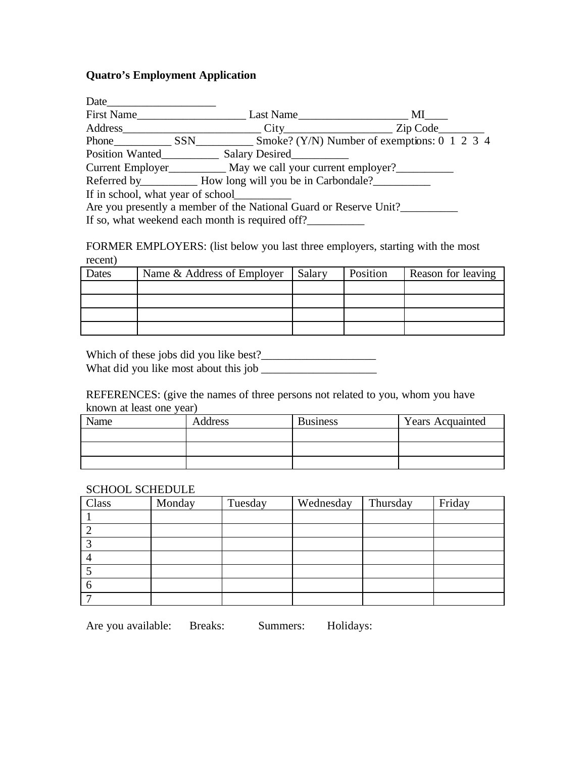## **Quatro's Employment Application**

| First Name<br>Last Name MI<br>$City$ $Zip Code$<br>Phone SSN Smoke? (Y/N) Number of exemptions: 0 1 2 3 4<br>Position Wanted Salary Desired<br>Current Employer May we call your current employer?<br>Referred by ____________ How long will you be in Carbondale?<br>If in school, what year of school<br>Are you presently a member of the National Guard or Reserve Unit?<br>If so, what weekend each month is required off? |
|---------------------------------------------------------------------------------------------------------------------------------------------------------------------------------------------------------------------------------------------------------------------------------------------------------------------------------------------------------------------------------------------------------------------------------|

FORMER EMPLOYERS: (list below you last three employers, starting with the most recent)

| Dates | Name & Address of Employer | Salary | Position | Reason for leaving |
|-------|----------------------------|--------|----------|--------------------|
|       |                            |        |          |                    |
|       |                            |        |          |                    |
|       |                            |        |          |                    |
|       |                            |        |          |                    |

Which of these jobs did you like best?\_\_\_\_\_\_\_\_\_\_\_\_\_\_\_\_\_\_\_\_ What did you like most about this job \_\_\_\_\_\_\_\_\_\_\_\_\_\_\_\_\_\_\_\_

REFERENCES: (give the names of three persons not related to you, whom you have known at least one year)

| Name | Address | <b>Business</b> | <b>Years Acquainted</b> |
|------|---------|-----------------|-------------------------|
|      |         |                 |                         |
|      |         |                 |                         |
|      |         |                 |                         |

## SCHOOL SCHEDULE

| Class | Monday | Tuesday | Wednesday | Thursday | Friday |
|-------|--------|---------|-----------|----------|--------|
|       |        |         |           |          |        |
|       |        |         |           |          |        |
|       |        |         |           |          |        |
|       |        |         |           |          |        |
|       |        |         |           |          |        |
|       |        |         |           |          |        |
|       |        |         |           |          |        |

Are you available: Breaks: Summers: Holidays: